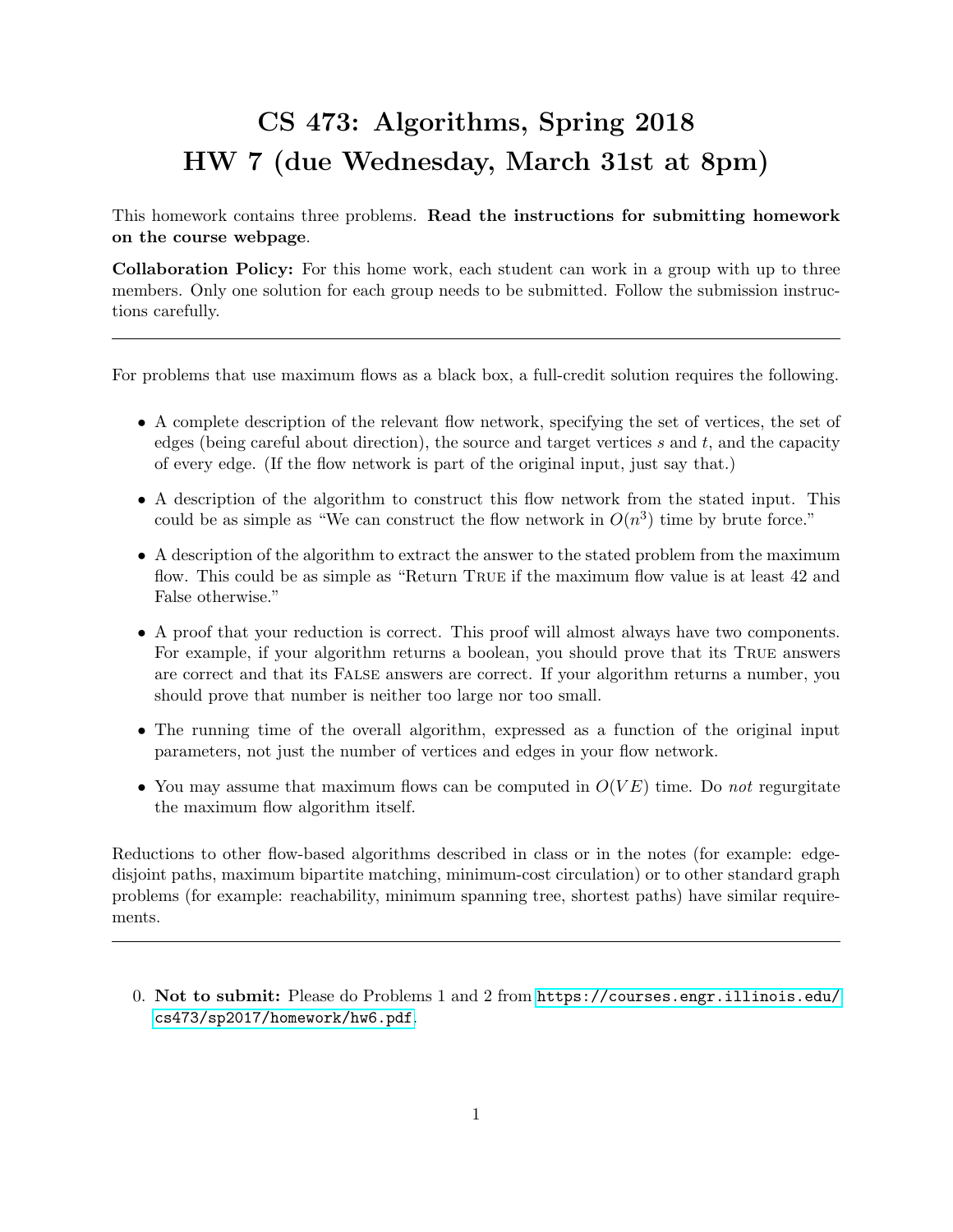## CS 473: Algorithms, Spring 2018 HW 7 (due Wednesday, March 31st at 8pm)

This homework contains three problems. Read the instructions for submitting homework on the course webpage.

Collaboration Policy: For this home work, each student can work in a group with up to three members. Only one solution for each group needs to be submitted. Follow the submission instructions carefully.

For problems that use maximum flows as a black box, a full-credit solution requires the following.

- A complete description of the relevant flow network, specifying the set of vertices, the set of edges (being careful about direction), the source and target vertices s and t, and the capacity of every edge. (If the flow network is part of the original input, just say that.)
- A description of the algorithm to construct this flow network from the stated input. This could be as simple as "We can construct the flow network in  $O(n^3)$  time by brute force."
- A description of the algorithm to extract the answer to the stated problem from the maximum flow. This could be as simple as "Return True if the maximum flow value is at least 42 and False otherwise."
- A proof that your reduction is correct. This proof will almost always have two components. For example, if your algorithm returns a boolean, you should prove that its True answers are correct and that its False answers are correct. If your algorithm returns a number, you should prove that number is neither too large nor too small.
- The running time of the overall algorithm, expressed as a function of the original input parameters, not just the number of vertices and edges in your flow network.
- You may assume that maximum flows can be computed in  $O(VE)$  time. Do not regurgitate the maximum flow algorithm itself.

Reductions to other flow-based algorithms described in class or in the notes (for example: edgedisjoint paths, maximum bipartite matching, minimum-cost circulation) or to other standard graph problems (for example: reachability, minimum spanning tree, shortest paths) have similar requirements.

0. Not to submit: Please do Problems 1 and 2 from [https://courses.engr.illinois.edu/](https://courses.engr.illinois.edu/cs473/sp2017/homework/hw6.pdf) [cs473/sp2017/homework/hw6.pdf](https://courses.engr.illinois.edu/cs473/sp2017/homework/hw6.pdf).